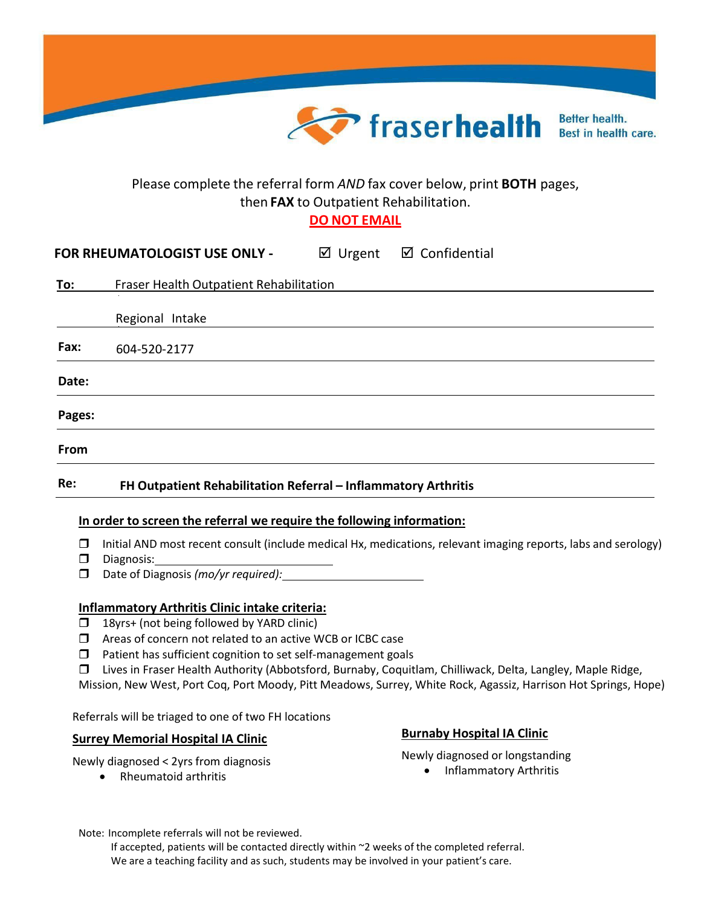

# Please complete the referral form *AND* fax cover below, print **BOTH** pages, then **FAX** to Outpatient Rehabilitation.

**DO NOT EMAIL**

| <b>FOR RHEUMATOLOGIST USE ONLY -</b> | ⊠ Urgent | ⊠ Confidential |
|--------------------------------------|----------|----------------|
|--------------------------------------|----------|----------------|

| <u>To:</u> | Fraser Health Outpatient Rehabilitation |
|------------|-----------------------------------------|
|            |                                         |
|            | Regional Intake                         |
| Fax:       | 604-520-2177                            |
| Date:      |                                         |
| Pages:     |                                         |
| From       |                                         |
|            |                                         |

## **Re: FH Outpatient Rehabilitation Referral – Inflammatory Arthritis**

### **In order to screen the referral we require the following information:**

- $\Box$  Initial AND most recent consult (include medical Hx, medications, relevant imaging reports, labs and serology)
- Diagnosis:
- Date of Diagnosis *(mo/yr required):*

## **Inflammatory Arthritis Clinic intake criteria:**

- $\Box$  18yrs+ (not being followed by YARD clinic)
- Areas of concern not related to an active WCB or ICBC case
- $\Box$  Patient has sufficient cognition to set self-management goals
- Lives in Fraser Health Authority (Abbotsford, Burnaby, Coquitlam, Chilliwack, Delta, Langley, Maple Ridge,

Mission, New West, Port Coq, Port Moody, Pitt Meadows, Surrey, White Rock, Agassiz, Harrison Hot Springs, Hope)

Referrals will be triaged to one of two FH locations

# **Surrey Memorial Hospital IA Clinic Burnaby Hospital IA Clinic**

Newly diagnosed < 2yrs from diagnosis

• Rheumatoid arthritis

Newly diagnosed or longstanding • Inflammatory Arthritis

Note: Incomplete referrals will not be reviewed.

If accepted, patients will be contacted directly within ~2 weeks of the completed referral. We are a teaching facility and as such, students may be involved in your patient's care.